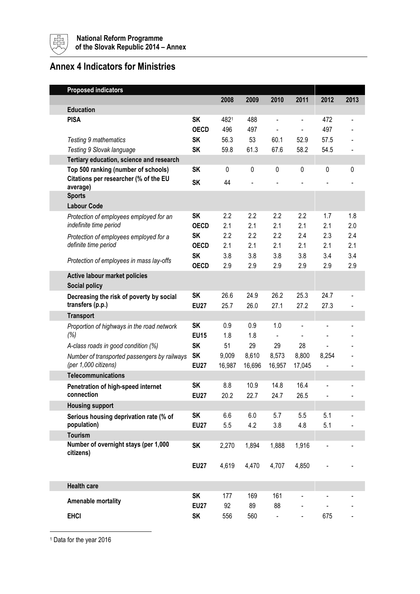

## **Annex 4 Indicators for Ministries**

|  | <b>Proposed indicators</b>                                                                                |             |        |         |                |                          |                |                          |
|--|-----------------------------------------------------------------------------------------------------------|-------------|--------|---------|----------------|--------------------------|----------------|--------------------------|
|  |                                                                                                           |             | 2008   | 2009    | 2010           | 2011                     | 2012           | 2013                     |
|  | <b>Education</b>                                                                                          |             |        |         |                |                          |                |                          |
|  | <b>PISA</b>                                                                                               | <b>SK</b>   | 4821   | 488     | $\blacksquare$ | $\overline{\phantom{a}}$ | 472            | $\overline{\phantom{a}}$ |
|  |                                                                                                           | <b>OECD</b> | 496    | 497     |                |                          | 497            |                          |
|  | Testing 9 mathematics                                                                                     | <b>SK</b>   | 56.3   | 53      | 60.1           | 52.9                     | 57.5           |                          |
|  | Testing 9 Slovak language                                                                                 | <b>SK</b>   | 59.8   | 61.3    | 67.6           | 58.2                     | 54.5           |                          |
|  | Tertiary education, science and research                                                                  |             |        |         |                |                          |                |                          |
|  | Top 500 ranking (number of schools)<br>Citations per researcher (% of the EU<br>average)<br><b>Sports</b> | <b>SK</b>   | 0      | 0       | 0              | $\mathbf 0$              | 0              | $\mathbf{0}$             |
|  |                                                                                                           | <b>SK</b>   | 44     |         |                |                          |                |                          |
|  |                                                                                                           |             |        |         |                |                          |                |                          |
|  | <b>Labour Code</b>                                                                                        |             |        |         |                |                          |                |                          |
|  |                                                                                                           | <b>SK</b>   | 2.2    | 2.2     | 2.2            | 2.2                      | 1.7            | 1.8                      |
|  | Protection of employees employed for an<br>indefinite time period                                         | <b>OECD</b> | 2.1    | 2.1     | 2.1            | 2.1                      | 2.1            | 2.0                      |
|  | Protection of employees employed for a<br>definite time period                                            | SΚ          | 2.2    | 2.2     | 2.2            | 2.4                      | 2.3            | 2.4                      |
|  |                                                                                                           | <b>OECD</b> | 2.1    | 2.1     | 2.1            | 2.1                      | 2.1            | 2.1                      |
|  |                                                                                                           | <b>SK</b>   | 3.8    | 3.8     | 3.8            | 3.8                      | 3.4            | 3.4                      |
|  | Protection of employees in mass lay-offs                                                                  | <b>OECD</b> | 2.9    | 2.9     | 2.9            | 2.9                      | 2.9            | 2.9                      |
|  | <b>Active labour market policies</b>                                                                      |             |        |         |                |                          |                |                          |
|  | Social policy                                                                                             |             |        |         |                |                          |                |                          |
|  | Decreasing the risk of poverty by social                                                                  | <b>SK</b>   | 26.6   | 24.9    | 26.2           | 25.3                     | 24.7           |                          |
|  | transfers (p.p.)                                                                                          | <b>EU27</b> | 25.7   | 26.0    | 27.1           | 27.2                     | 27.3           |                          |
|  | <b>Transport</b>                                                                                          |             |        |         |                |                          |                |                          |
|  | Proportion of highways in the road network                                                                | <b>SK</b>   | 0.9    | 0.9     | 1.0            |                          |                |                          |
|  | (%)                                                                                                       | <b>EU15</b> | 1.8    | 1.8     |                |                          |                |                          |
|  | A-class roads in good condition (%)                                                                       | <b>SK</b>   | 51     | 29      | 29             | 28                       |                |                          |
|  | Number of transported passengers by railways<br>(per 1,000 citizens)                                      | <b>SK</b>   | 9,009  | 8,610   | 8,573          | 8,800                    | 8,254          |                          |
|  |                                                                                                           | <b>EU27</b> | 16,987 | 16,696  | 16,957         | 17,045                   | ÷              |                          |
|  | <b>Telecommunications</b>                                                                                 |             |        |         |                |                          |                |                          |
|  | Penetration of high-speed internet                                                                        | SΚ          | 8.8    | 10.9    | 14.8           | 16.4                     |                |                          |
|  | connection                                                                                                | <b>EU27</b> | 20.2   | 22.7    | 24.7           | 26.5                     |                |                          |
|  | <b>Housing support</b>                                                                                    |             |        |         |                |                          |                |                          |
|  | Serious housing deprivation rate (% of                                                                    | <b>SK</b>   | 6.6    | $6.0\,$ | 5.7            | 5.5                      | 5.1            |                          |
|  | population)                                                                                               | <b>EU27</b> | 5.5    | 4.2     | 3.8            | 4.8                      | 5.1            |                          |
|  | <b>Tourism</b>                                                                                            |             |        |         |                |                          |                |                          |
|  | Number of overnight stays (per 1,000<br>citizens)                                                         | <b>SK</b>   | 2,270  | 1,894   | 1,888          | 1,916                    | $\blacksquare$ |                          |
|  |                                                                                                           |             |        |         |                |                          |                |                          |
|  |                                                                                                           | <b>EU27</b> | 4,619  | 4,470   | 4,707          | 4,850                    |                |                          |
|  |                                                                                                           |             |        |         |                |                          |                |                          |
|  | <b>Health care</b>                                                                                        |             |        |         |                |                          |                |                          |
|  | Amenable mortality                                                                                        | <b>SK</b>   | 177    | 169     | 161            |                          |                |                          |
|  |                                                                                                           | <b>EU27</b> | 92     | 89      | 88             |                          |                |                          |
|  | <b>EHCI</b>                                                                                               | <b>SK</b>   | 556    | 560     | $\blacksquare$ |                          | 675            |                          |

<sup>1</sup> Data for the year 2016

<u>.</u>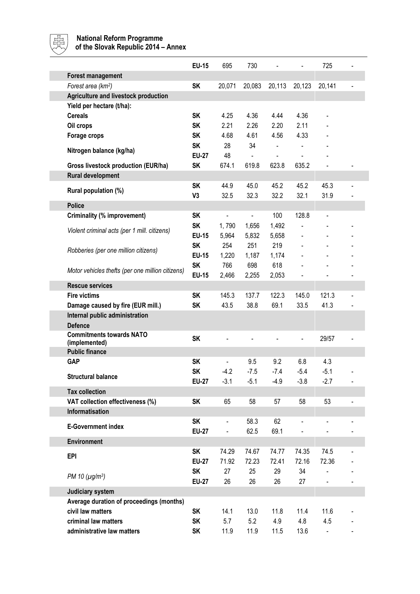

## **National Reform Programme**

**of the Slovak Republic 2014 – Annex** 

|                                                  | <b>EU-15</b>   | 695                      | 730           |                |                | 725            |  |
|--------------------------------------------------|----------------|--------------------------|---------------|----------------|----------------|----------------|--|
| <b>Forest management</b>                         |                |                          |               |                |                |                |  |
| Forest area (km <sup>2</sup> )                   | <b>SK</b>      | 20,071                   | 20,083        | 20,113         | 20,123         | 20,141         |  |
| Agriculture and livestock production             |                |                          |               |                |                |                |  |
| Yield per hectare (t/ha):                        |                |                          |               |                |                |                |  |
| <b>Cereals</b>                                   | <b>SK</b>      | 4.25                     | 4.36          | 4.44           | 4.36           |                |  |
| Oil crops                                        | <b>SK</b>      | 2.21                     | 2.26          | 2.20           | 2.11           |                |  |
| Forage crops                                     | <b>SK</b>      | 4.68                     | 4.61          | 4.56           | 4.33           |                |  |
| Nitrogen balance (kg/ha)                         | <b>SK</b>      | 28                       | 34            | $\blacksquare$ | $\overline{a}$ |                |  |
|                                                  | <b>EU-27</b>   | 48                       |               |                |                |                |  |
| Gross livestock production (EUR/ha)              | <b>SK</b>      | 674.1                    | 619.8         | 623.8          | 635.2          | $\blacksquare$ |  |
| Rural development                                |                |                          |               |                |                |                |  |
|                                                  | <b>SK</b>      | 44.9                     | 45.0          | 45.2           | 45.2           | 45.3           |  |
| Rural population (%)                             | V <sub>3</sub> | 32.5                     | 32.3          | 32.2           | 32.1           | 31.9           |  |
| <b>Police</b>                                    |                |                          |               |                |                |                |  |
| Criminality (% improvement)                      | <b>SK</b>      | $\overline{\phantom{0}}$ | $\frac{1}{2}$ | 100            | 128.8          |                |  |
|                                                  | <b>SK</b>      | 1,790                    | 1,656         | 1,492          |                |                |  |
| Violent criminal acts (per 1 mill. citizens)     | <b>EU-15</b>   | 5,964                    | 5,832         | 5,658          | $\frac{1}{2}$  |                |  |
|                                                  | <b>SK</b>      | 254                      | 251           | 219            |                |                |  |
| Robberies (per one million citizens)             | <b>EU-15</b>   | 1,220                    | 1,187         | 1,174          |                |                |  |
|                                                  | <b>SK</b>      | 766                      | 698           | 618            |                |                |  |
| Motor vehicles thefts (per one million citizens) | <b>EU-15</b>   | 2,466                    | 2,255         | 2,053          |                |                |  |
| <b>Rescue services</b>                           |                |                          |               |                |                |                |  |
| <b>Fire victims</b>                              | <b>SK</b>      | 145.3                    | 137.7         | 122.3          | 145.0          | 121.3          |  |
| Damage caused by fire (EUR mill.)                | <b>SK</b>      | 43.5                     | 38.8          | 69.1           | 33.5           | 41.3           |  |
| Internal public administration                   |                |                          |               |                |                |                |  |
| <b>Defence</b>                                   |                |                          |               |                |                |                |  |
| <b>Commitments towards NATO</b>                  | <b>SK</b>      |                          |               |                |                | 29/57          |  |
| (implemented)                                    |                |                          |               |                |                |                |  |
| <b>Public finance</b>                            |                |                          |               |                |                |                |  |
| <b>GAP</b>                                       | <b>SK</b>      |                          | 9.5           | 9.2            | 6.8            | 4.3            |  |
| <b>Structural balance</b>                        | <b>SK</b>      | $-4.2$                   | $-7.5$        | $-7.4$         | $-5.4$         | $-5.1$         |  |
|                                                  | <b>EU-27</b>   | $-3.1$                   | $-5.1$        | $-4.9$         | $-3.8$         | $-2.7$         |  |
| <b>Tax collection</b>                            |                |                          |               |                |                |                |  |
| VAT collection effectiveness (%)                 | <b>SK</b>      | 65                       | 58            | 57             | 58             | 53             |  |
| Informatisation                                  |                |                          |               |                |                |                |  |
| <b>E-Government index</b>                        | <b>SK</b>      |                          | 58.3          | 62             |                |                |  |
|                                                  | <b>EU-27</b>   |                          | 62.5          | 69.1           |                |                |  |
| <b>Environment</b>                               |                |                          |               |                |                |                |  |
| <b>EPI</b>                                       | <b>SK</b>      | 74.29                    | 74.67         | 74.77          | 74.35          | 74.5           |  |
|                                                  | <b>EU-27</b>   | 71.92                    | 72.23         | 72.41          | 72.16          | 72.36          |  |
| PM 10 $(\mu g/m^3)$                              | <b>SK</b>      | 27                       | 25            | 29             | 34             |                |  |
|                                                  | <b>EU-27</b>   | 26                       | 26            | 26             | 27             |                |  |
| Judiciary system                                 |                |                          |               |                |                |                |  |
| Average duration of proceedings (months)         |                |                          |               |                |                |                |  |
| civil law matters                                | <b>SK</b>      | 14.1                     | 13.0          | 11.8           | 11.4           | 11.6           |  |
| criminal law matters                             | <b>SK</b>      | 5.7                      | 5.2           | 4.9            | 4.8            | 4.5            |  |
| administrative law matters                       | <b>SK</b>      | 11.9                     | 11.9          | 11.5           | 13.6           | $\blacksquare$ |  |